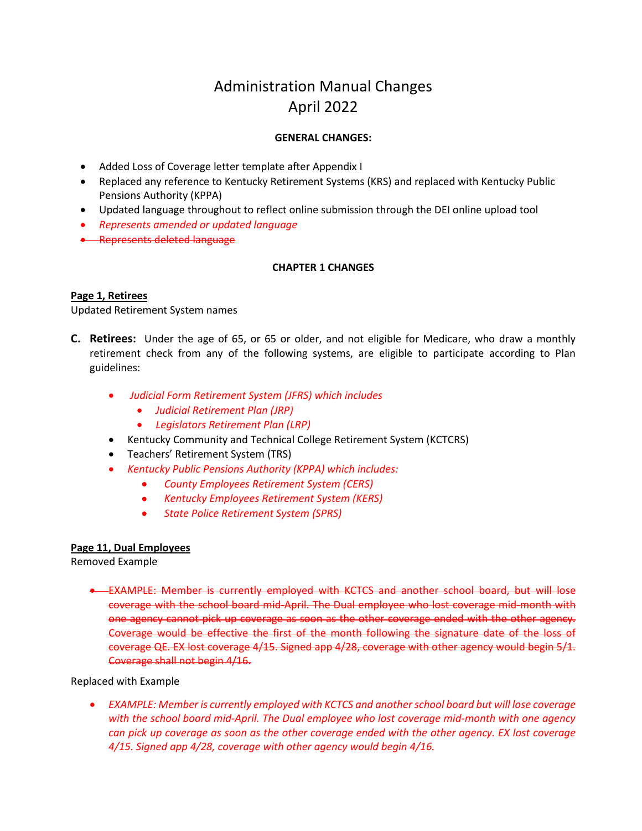# Administration Manual Changes April 2022

# **GENERAL CHANGES:**

- Added Loss of Coverage letter template after Appendix I
- Replaced any reference to Kentucky Retirement Systems (KRS) and replaced with Kentucky Public Pensions Authority (KPPA)
- Updated language throughout to reflect online submission through the DEI online upload tool
- *Represents amended or updated language*
- Represents deleted language

# **CHAPTER 1 CHANGES**

## **Page 1, Retirees**

Updated Retirement System names

- **C. Retirees:** Under the age of 65, or 65 or older, and not eligible for Medicare, who draw a monthly retirement check from any of the following systems, are eligible to participate according to Plan guidelines:
	- *Judicial Form Retirement System (JFRS) which includes*
		- *Judicial Retirement Plan (JRP)*
		- *Legislators Retirement Plan (LRP)*
	- Kentucky Community and Technical College Retirement System (KCTCRS)
	- Teachers' Retirement System (TRS)
	- *Kentucky Public Pensions Authority (KPPA) which includes:*
		- *County Employees Retirement System (CERS)*
		- *Kentucky Employees Retirement System (KERS)*
		- *State Police Retirement System (SPRS)*

## **Page 11, Dual Employees**

Removed Example

• EXAMPLE: Member is currently employed with KCTCS and another school board, but will lose coverage with the school board mid-April. The Dual employee who lost coverage mid-month with one agency cannot pick up coverage as soon as the other coverage ended with the other agency. Coverage would be effective the first of the month following the signature date of the loss of coverage QE. EX lost coverage 4/15. Signed app 4/28, coverage with other agency would begin 5/1. Coverage shall not begin 4/16.

Replaced with Example

• *EXAMPLE: Member is currently employed with KCTCS and another school board but will lose coverage with the school board mid-April. The Dual employee who lost coverage mid-month with one agency can pick up coverage as soon as the other coverage ended with the other agency. EX lost coverage 4/15. Signed app 4/28, coverage with other agency would begin 4/16.*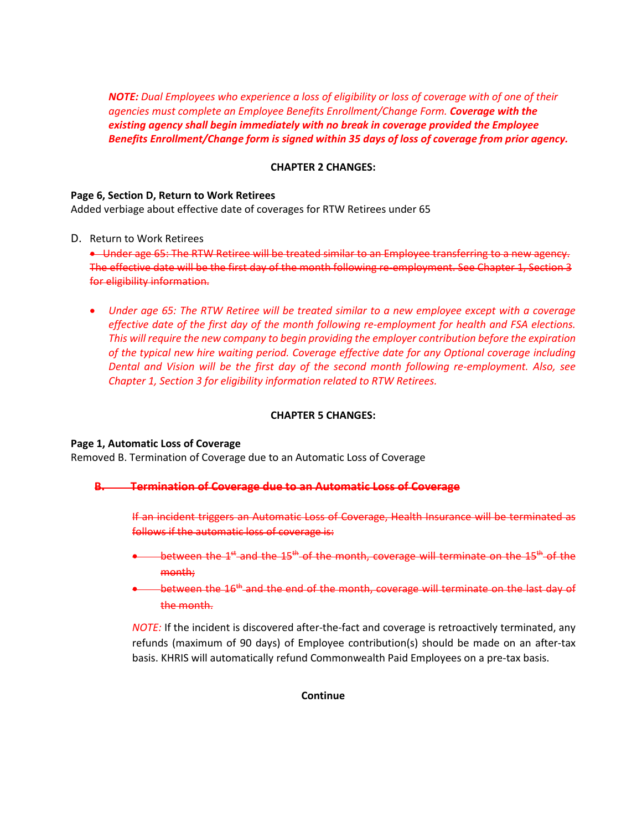*NOTE: Dual Employees who experience a loss of eligibility or loss of coverage with of one of their agencies must complete an Employee Benefits Enrollment/Change Form. Coverage with the existing agency shall begin immediately with no break in coverage provided the Employee Benefits Enrollment/Change form is signed within 35 days of loss of coverage from prior agency.*

## **CHAPTER 2 CHANGES:**

#### **Page 6, Section D, Return to Work Retirees**

Added verbiage about effective date of coverages for RTW Retirees under 65

D. Return to Work Retirees

• Under age 65: The RTW Retiree will be treated similar to an Employee transferring to a new agency. The effective date will be the first day of the month following re-employment. See Chapter 1, Section 3 for eligibility information.

• *Under age 65: The RTW Retiree will be treated similar to a new employee except with a coverage effective date of the first day of the month following re-employment for health and FSA elections. This will require the new company to begin providing the employer contribution before the expiration of the typical new hire waiting period. Coverage effective date for any Optional coverage including Dental and Vision will be the first day of the second month following re-employment. Also, see Chapter 1, Section 3 for eligibility information related to RTW Retirees.*

### **CHAPTER 5 CHANGES:**

#### **Page 1, Automatic Loss of Coverage**

Removed B. Termination of Coverage due to an Automatic Loss of Coverage

#### **B. Termination of Coverage due to an Automatic Loss of Coverage**

If an incident triggers an Automatic Loss of Coverage, Health Insurance will be terminated as follows if the automatic loss of coverage is:

- **•** between the  $1<sup>st</sup>$  and the  $15<sup>th</sup>$  of the month, coverage will terminate on the  $15<sup>th</sup>$  of the month;
- between the 16<sup>th</sup> and the end of the month, coverage will terminate on the last day of the month.

*NOTE:* If the incident is discovered after-the-fact and coverage is retroactively terminated, any refunds (maximum of 90 days) of Employee contribution(s) should be made on an after-tax basis. KHRIS will automatically refund Commonwealth Paid Employees on a pre-tax basis.

**Continue**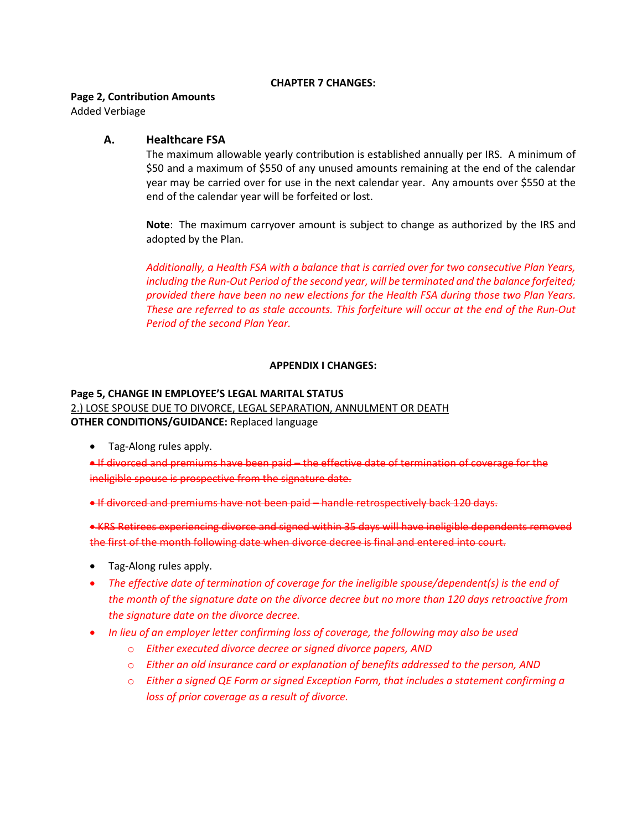#### **CHAPTER 7 CHANGES:**

#### **Page 2, Contribution Amounts**

Added Verbiage

## **A. Healthcare FSA**

The maximum allowable yearly contribution is established annually per IRS. A minimum of \$50 and a maximum of \$550 of any unused amounts remaining at the end of the calendar year may be carried over for use in the next calendar year. Any amounts over \$550 at the end of the calendar year will be forfeited or lost.

**Note**: The maximum carryover amount is subject to change as authorized by the IRS and adopted by the Plan.

*Additionally, a Health FSA with a balance that is carried over for two consecutive Plan Years, including the Run-Out Period of the second year, will be terminated and the balance forfeited; provided there have been no new elections for the Health FSA during those two Plan Years. These are referred to as stale accounts. This forfeiture will occur at the end of the Run-Out Period of the second Plan Year.*

## **APPENDIX I CHANGES:**

#### **Page 5, CHANGE IN EMPLOYEE'S LEGAL MARITAL STATUS**

2.) LOSE SPOUSE DUE TO DIVORCE, LEGAL SEPARATION, ANNULMENT OR DEATH **OTHER CONDITIONS/GUIDANCE:** Replaced language

• Tag-Along rules apply.

• If divorced and premiums have been paid – the effective date of termination of coverage for the ineligible spouse is prospective from the signature date.

• If divorced and premiums have not been paid – handle retrospectively back 120 days.

• KRS Retirees experiencing divorce and signed within 35 days will have ineligible dependents removed the first of the month following date when divorce decree is final and entered into court.

- Tag-Along rules apply.
- *The effective date of termination of coverage for the ineligible spouse/dependent(s) is the end of the month of the signature date on the divorce decree but no more than 120 days retroactive from the signature date on the divorce decree.*
- *In lieu of an employer letter confirming loss of coverage, the following may also be used*
	- o *Either executed divorce decree or signed divorce papers, AND*
	- o *Either an old insurance card or explanation of benefits addressed to the person, AND*
	- o *Either a signed QE Form or signed Exception Form, that includes a statement confirming a loss of prior coverage as a result of divorce.*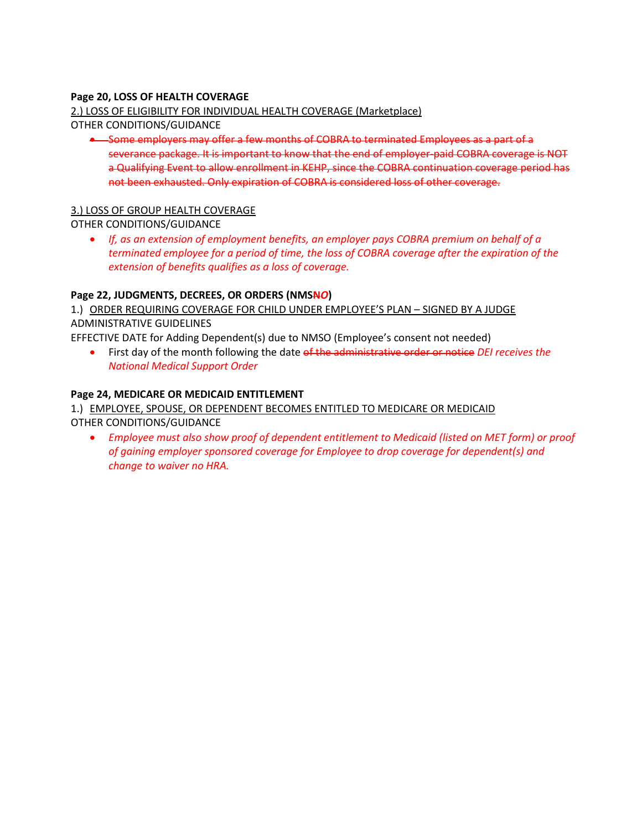# **Page 20, LOSS OF HEALTH COVERAGE**

# 2.) LOSS OF ELIGIBILITY FOR INDIVIDUAL HEALTH COVERAGE (Marketplace)

OTHER CONDITIONS/GUIDANCE

• Some employers may offer a few months of COBRA to terminated Employees as a part of a severance package. It is important to know that the end of employer-paid COBRA coverage is NOT a Qualifying Event to allow enrollment in KEHP, since the COBRA continuation coverage period has not been exhausted. Only expiration of COBRA is considered loss of other coverage.

# 3.) LOSS OF GROUP HEALTH COVERAGE

OTHER CONDITIONS/GUIDANCE

• *If, as an extension of employment benefits, an employer pays COBRA premium on behalf of a terminated employee for a period of time, the loss of COBRA coverage after the expiration of the extension of benefits qualifies as a loss of coverage.*

## **Page 22, JUDGMENTS, DECREES, OR ORDERS (NMSN***O***)**

1.) ORDER REQUIRING COVERAGE FOR CHILD UNDER EMPLOYEE'S PLAN – SIGNED BY A JUDGE ADMINISTRATIVE GUIDELINES

EFFECTIVE DATE for Adding Dependent(s) due to NMSO (Employee's consent not needed)

• First day of the month following the date of the administrative order or notice *DEI receives the National Medical Support Order* 

# **Page 24, MEDICARE OR MEDICAID ENTITLEMENT**

1.) EMPLOYEE, SPOUSE, OR DEPENDENT BECOMES ENTITLED TO MEDICARE OR MEDICAID OTHER CONDITIONS/GUIDANCE

• *Employee must also show proof of dependent entitlement to Medicaid (listed on MET form) or proof of gaining employer sponsored coverage for Employee to drop coverage for dependent(s) and change to waiver no HRA.*